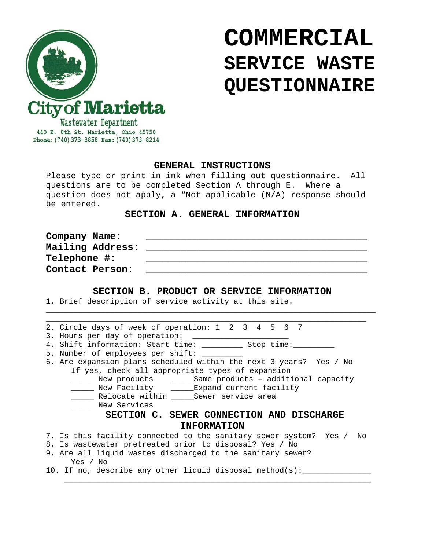

# **COMMERCIAL SERVICE WASTE QUESTIONNAIRE**

440 E. 8th St. Marietta, Ohio 45750 Phone: (740) 373-3858 Fax: (740) 373-8214

## **GENERAL INSTRUCTIONS**

Please type or print in ink when filling out questionnaire. All questions are to be completed Section A through E. Where a question does not apply, a "Not-applicable (N/A) response should be entered.

# **SECTION A. GENERAL INFORMATION**

| Company Name:    |  |
|------------------|--|
| Mailing Address: |  |
| Telephone #:     |  |
| Contact Person:  |  |

### **SECTION B. PRODUCT OR SERVICE INFORMATION**

\_\_\_\_\_\_\_\_\_\_\_\_\_\_\_\_\_\_\_\_\_\_\_\_\_\_\_\_\_\_\_\_\_\_\_\_\_\_\_\_\_\_\_\_\_\_\_\_\_\_\_\_\_\_\_\_\_\_\_\_\_\_\_\_\_\_\_\_\_\_\_\_

1. Brief description of service activity at this site.

| 2. Circle days of week of operation: 1 2 3 4 5 6 7                      |  |
|-------------------------------------------------------------------------|--|
| 3. Hours per day of operation:                                          |  |
| 4. Shift information: Start time: The Stop time:                        |  |
| 5. Number of employees per shift: __                                    |  |
| 6. Are expansion plans scheduled within the next 3 years? Yes / No      |  |
| If yes, check all appropriate types of expansion                        |  |
| New products (Same products - additional capacity                       |  |
| New Facility ______Expand current facility                              |  |
| Relocate within _______ Sewer service area                              |  |
| New Services                                                            |  |
| SECTION C. SEWER CONNECTION AND DISCHARGE                               |  |
| <b>INFORMATION</b>                                                      |  |
| 7. Is this facility connected to the sanitary sewer system? Yes /<br>No |  |
| 8. Is wastewater pretreated prior to disposal? Yes / No                 |  |
| 9. Are all liquid wastes discharged to the sanitary sewer?              |  |
| Yes / No                                                                |  |
| 10. If no, describe any other liquid disposal method(s):                |  |

 $\overline{\phantom{a}}$  , and the contract of the contract of the contract of the contract of the contract of the contract of the contract of the contract of the contract of the contract of the contract of the contract of the contrac